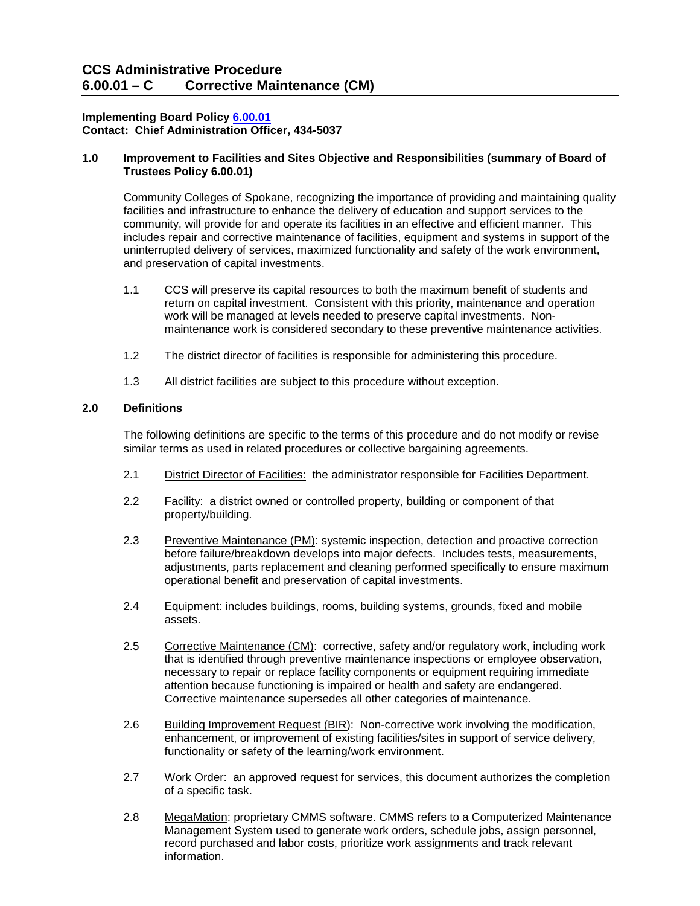# **Implementing Board Polic[y 6.00.01](http://ccs.spokane.edu/About-Us/Leadership/Board-of-Trustees/Policies-Procedures/Chapter6#AccWE2-1) Contact: Chief Administration Officer, 434-5037**

#### **1.0 Improvement to Facilities and Sites Objective and Responsibilities (summary of Board of Trustees Policy 6.00.01)**

Community Colleges of Spokane, recognizing the importance of providing and maintaining quality facilities and infrastructure to enhance the delivery of education and support services to the community, will provide for and operate its facilities in an effective and efficient manner. This includes repair and corrective maintenance of facilities, equipment and systems in support of the uninterrupted delivery of services, maximized functionality and safety of the work environment, and preservation of capital investments.

- 1.1 CCS will preserve its capital resources to both the maximum benefit of students and return on capital investment. Consistent with this priority, maintenance and operation work will be managed at levels needed to preserve capital investments. Nonmaintenance work is considered secondary to these preventive maintenance activities.
- 1.2 The district director of facilities is responsible for administering this procedure.
- 1.3 All district facilities are subject to this procedure without exception.

# **2.0 Definitions**

The following definitions are specific to the terms of this procedure and do not modify or revise similar terms as used in related procedures or collective bargaining agreements.

- 2.1 District Director of Facilities: the administrator responsible for Facilities Department.
- 2.2 Facility: a district owned or controlled property, building or component of that property/building.
- 2.3 Preventive Maintenance (PM): systemic inspection, detection and proactive correction before failure/breakdown develops into major defects. Includes tests, measurements, adjustments, parts replacement and cleaning performed specifically to ensure maximum operational benefit and preservation of capital investments.
- 2.4 Equipment: includes buildings, rooms, building systems, grounds, fixed and mobile assets.
- 2.5 Corrective Maintenance (CM): corrective, safety and/or regulatory work, including work that is identified through preventive maintenance inspections or employee observation, necessary to repair or replace facility components or equipment requiring immediate attention because functioning is impaired or health and safety are endangered. Corrective maintenance supersedes all other categories of maintenance.
- 2.6 Building Improvement Request (BIR): Non-corrective work involving the modification, enhancement, or improvement of existing facilities/sites in support of service delivery, functionality or safety of the learning/work environment.
- 2.7 Work Order: an approved request for services, this document authorizes the completion of a specific task.
- 2.8 MegaMation: proprietary CMMS software. CMMS refers to a Computerized Maintenance Management System used to generate work orders, schedule jobs, assign personnel, record purchased and labor costs, prioritize work assignments and track relevant information.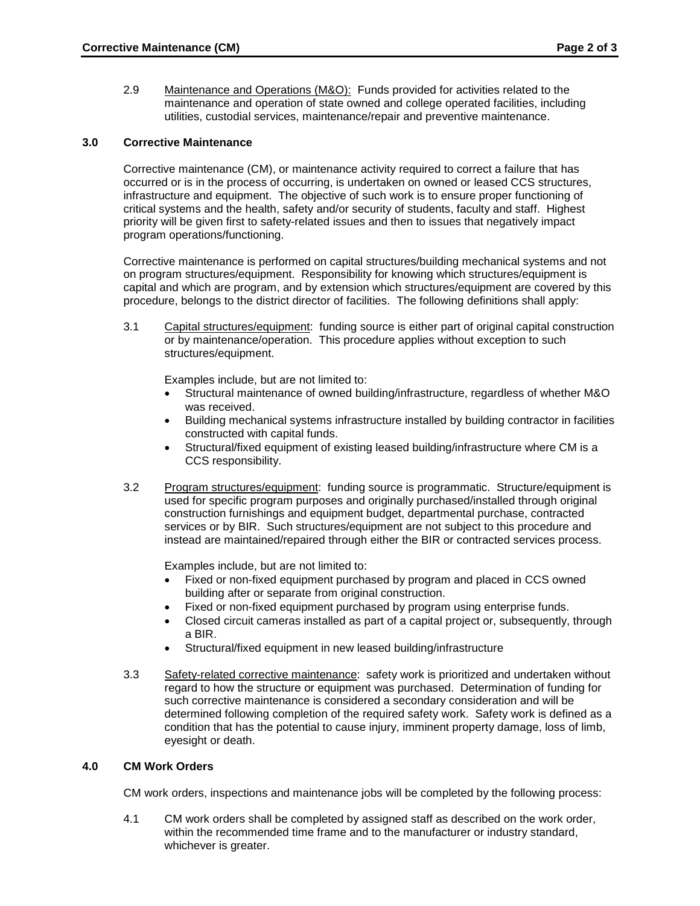2.9 Maintenance and Operations (M&O): Funds provided for activities related to the maintenance and operation of state owned and college operated facilities, including utilities, custodial services, maintenance/repair and preventive maintenance.

# **3.0 Corrective Maintenance**

Corrective maintenance (CM), or maintenance activity required to correct a failure that has occurred or is in the process of occurring, is undertaken on owned or leased CCS structures, infrastructure and equipment. The objective of such work is to ensure proper functioning of critical systems and the health, safety and/or security of students, faculty and staff. Highest priority will be given first to safety-related issues and then to issues that negatively impact program operations/functioning.

Corrective maintenance is performed on capital structures/building mechanical systems and not on program structures/equipment. Responsibility for knowing which structures/equipment is capital and which are program, and by extension which structures/equipment are covered by this procedure, belongs to the district director of facilities. The following definitions shall apply:

3.1 Capital structures/equipment: funding source is either part of original capital construction or by maintenance/operation. This procedure applies without exception to such structures/equipment.

Examples include, but are not limited to:

- Structural maintenance of owned building/infrastructure, regardless of whether M&O was received.
- Building mechanical systems infrastructure installed by building contractor in facilities constructed with capital funds.
- Structural/fixed equipment of existing leased building/infrastructure where CM is a CCS responsibility.
- 3.2 Program structures/equipment: funding source is programmatic. Structure/equipment is used for specific program purposes and originally purchased/installed through original construction furnishings and equipment budget, departmental purchase, contracted services or by BIR. Such structures/equipment are not subject to this procedure and instead are maintained/repaired through either the BIR or contracted services process.

Examples include, but are not limited to:

- Fixed or non-fixed equipment purchased by program and placed in CCS owned building after or separate from original construction.
- Fixed or non-fixed equipment purchased by program using enterprise funds.
- Closed circuit cameras installed as part of a capital project or, subsequently, through a BIR.
- Structural/fixed equipment in new leased building/infrastructure
- 3.3 Safety-related corrective maintenance: safety work is prioritized and undertaken without regard to how the structure or equipment was purchased. Determination of funding for such corrective maintenance is considered a secondary consideration and will be determined following completion of the required safety work. Safety work is defined as a condition that has the potential to cause injury, imminent property damage, loss of limb, eyesight or death.

#### **4.0 CM Work Orders**

CM work orders, inspections and maintenance jobs will be completed by the following process:

4.1 CM work orders shall be completed by assigned staff as described on the work order, within the recommended time frame and to the manufacturer or industry standard, whichever is greater.